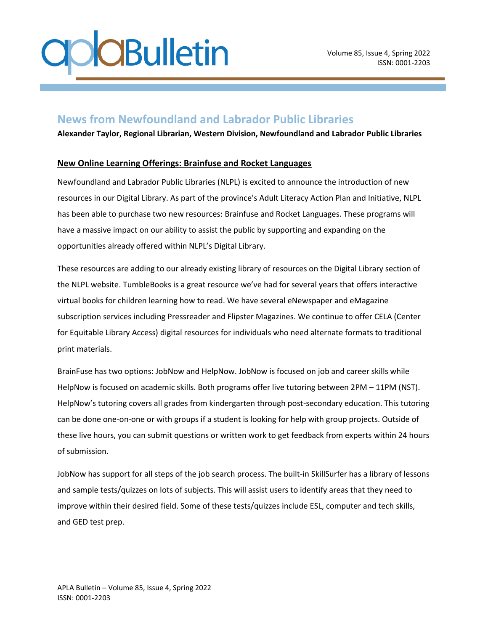## **CBulletin**

## **News from Newfoundland and Labrador Public Libraries**

**Alexander Taylor, Regional Librarian, Western Division, Newfoundland and Labrador Public Libraries**

## **New Online Learning Offerings: Brainfuse and Rocket Languages**

Newfoundland and Labrador Public Libraries (NLPL) is excited to announce the introduction of new resources in our Digital Library. As part of the province's Adult Literacy Action Plan and Initiative, NLPL has been able to purchase two new resources: Brainfuse and Rocket Languages. These programs will have a massive impact on our ability to assist the public by supporting and expanding on the opportunities already offered within NLPL's Digital Library.

These resources are adding to our already existing library of resources on the Digital Library section of the NLPL website. TumbleBooks is a great resource we've had for several years that offers interactive virtual books for children learning how to read. We have several eNewspaper and eMagazine subscription services including Pressreader and Flipster Magazines. We continue to offer CELA (Center for Equitable Library Access) digital resources for individuals who need alternate formats to traditional print materials.

BrainFuse has two options: JobNow and HelpNow. JobNow is focused on job and career skills while HelpNow is focused on academic skills. Both programs offer live tutoring between 2PM – 11PM (NST). HelpNow's tutoring covers all grades from kindergarten through post-secondary education. This tutoring can be done one-on-one or with groups if a student is looking for help with group projects. Outside of these live hours, you can submit questions or written work to get feedback from experts within 24 hours of submission.

JobNow has support for all steps of the job search process. The built-in SkillSurfer has a library of lessons and sample tests/quizzes on lots of subjects. This will assist users to identify areas that they need to improve within their desired field. Some of these tests/quizzes include ESL, computer and tech skills, and GED test prep.